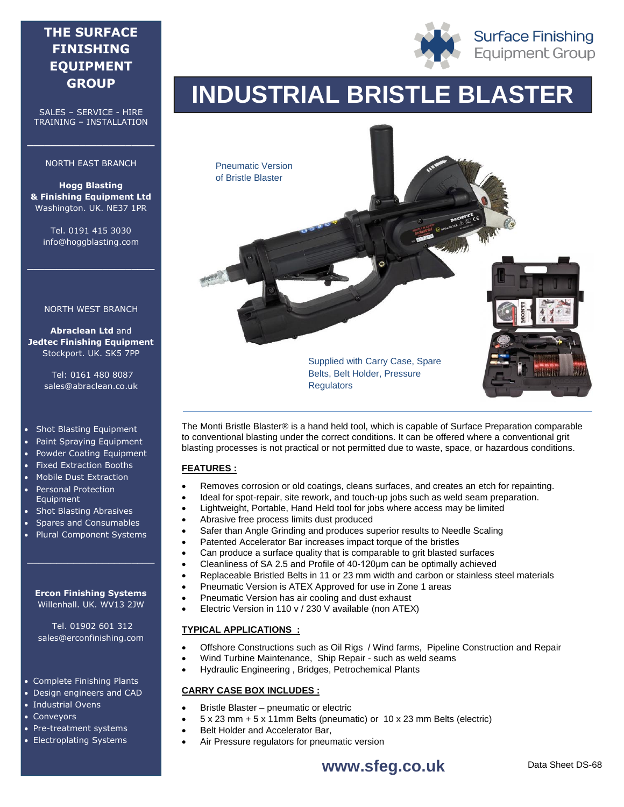# **THE SURFACE FINISHING EQUIPMENT GROUP**

SALES – SERVICE - HIRE TRAINING – INSTALLATION

#### NORTH EAST BRANCH

**\_\_\_\_\_\_\_\_\_\_\_\_\_\_\_\_\_\_\_\_\_\_**

**Hogg Blasting & Finishing Equipment Ltd** Washington. UK. NE37 1PR

Tel. 0191 415 3030 info@hoggblasting.com

**\_\_\_\_\_\_\_\_\_\_\_\_\_\_\_\_\_\_\_\_\_\_**

#### NORTH WEST BRANCH

**Abraclean Ltd** and **Jedtec Finishing Equipment** Stockport. UK. SK5 7PP

> Tel: 0161 480 8087 sales@abraclean.co.uk

#### • Shot Blasting Equipment

- Paint Spraying Equipment
- Powder Coating Equipment
- Fixed Extraction Booths
- Mobile Dust Extraction
- Personal Protection Equipment
- Shot Blasting Abrasives
- Spares and Consumables
- Plural Component Systems

#### **Ercon Finishing Systems** Willenhall. UK. WV13 2JW

**\_\_\_\_\_\_\_\_\_\_\_\_\_\_\_\_\_\_\_\_\_\_**

Tel. 01902 601 312 sales@erconfinishing.com

### Complete Finishing Plants

- Design engineers and CAD
- Industrial Ovens
- Conveyors
- Pre-treatment systems
- Electroplating Systems





The Monti Bristle Blaster® is a hand held tool, which is capable of Surface Preparation comparable to conventional blasting under the correct conditions. It can be offered where a conventional grit blasting processes is not practical or not permitted due to waste, space, or hazardous conditions.

## **FEATURES :**

- Removes corrosion or old coatings, cleans surfaces, and creates an etch for repainting.
- Ideal for spot-repair, site rework, and touch-up jobs such as weld seam preparation.
- Lightweight, Portable, Hand Held tool for jobs where access may be limited
- Abrasive free process limits dust produced
- Safer than Angle Grinding and produces superior results to Needle Scaling
- Patented Accelerator Bar increases impact torque of the bristles
- Can produce a surface quality that is comparable to grit blasted surfaces
- Cleanliness of SA 2.5 and Profile of 40-120μm can be optimally achieved
- Replaceable Bristled Belts in 11 or 23 mm width and carbon or stainless steel materials
- Pneumatic Version is ATEX Approved for use in Zone 1 areas
- Pneumatic Version has air cooling and dust exhaust
- Electric Version in 110 v / 230 V available (non ATEX)

#### **TYPICAL APPLICATIONS :**

- Offshore Constructions such as Oil Rigs / Wind farms, Pipeline Construction and Repair
- Wind Turbine Maintenance, Ship Repair such as weld seams
- Hydraulic Engineering , Bridges, Petrochemical Plants

## **CARRY CASE BOX INCLUDES :**

- Bristle Blaster pneumatic or electric
- 5 x 23 mm + 5 x 11mm Belts (pneumatic) or 10 x 23 mm Belts (electric)
	- Belt Holder and Accelerator Bar,
	- Air Pressure regulators for pneumatic version